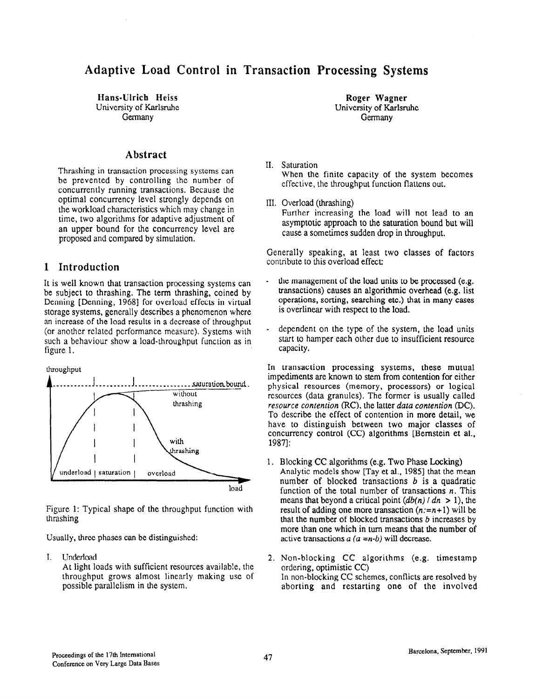# Adaptive Load Control in Transaction Processing Systems

Hans-Ulrich Heiss University of Karlsruhe Germany

# Abstract

Thrashing in transaction processing systems can be prevented by controlling the number of concurrently running transactions. Because the optimal concurrency level strongly depends on the workload characteristics which may change in time, two algorithms for adaptive adjustment of an upper bound for the concurrency level are proposed and compared by simulation.

# 1 Introduction

It is well known that transaction processing systems can be subject to thrashing. The term thrashing, coined by Denning [Denning, 1968] for overload effects in virtual storage systems, generally describes a phenomenon where an increase of the load results in a decrease of throughput (or another related performance measure). Systems with such a behaviour show a load-throughput function as in figure 1.





Figure 1: Typical shape of the throughput function with thrashing

Usually, three phases can be distinguished:

I. Underload

At light loads with sufficient resources availab!e, the throughput grows almost linearly making use of possible parallelism in the system.

Roger Wagner University of Karlsruhe Germany

- II. Saturation When the finite capacity of the system becomes effective, the throughput function flattens out.
- III. Overload (thrashing) Further increasing the load will not lead to an asymptotic approach to the saturation bound but will cause a sometimes sudden drop in throughput.

Generally speaking, at least two classes of factors contribute to this overload effect:

- the management of the load units to be processed (e.g. transactions) causes an algorithmic overhead (e.g. list operations, sorting, searching etc.) that in many cases is overlinear with respect to the load.
- dependent on the type of the system, the load units start to hamper each other due to insufficient resource capacity.

In transaction processing systems, these mutual impediments are known to stem from contention for either physical resources (memory, processors) or logical resources (data granules). The former is usually called resource contention (RC), the latter data contention (DC). To describe the effect of contention in more detail, we have to distinguish between two major classes of concurrency control (CC) algorithms [Bernstein et al., 19871:

1. Blocking CC algorithms (e.g. Two Phase Locking) Analytic models show [Tay et al., 1985] that the mean number of blocked transactions  $b$  is a quadratic function of the total number of transactions  $n$ . This means that beyond a critical point  $\left(\frac{db(n)}{n}\right)$  dn > 1), the result of adding one more transaction  $(n:=n+1)$  will be that the number of blocked transactions  $b$  increases by more than one which in turn means that the number of active transactions  $a (a = n-b)$  will decrease.

2. Non-blocking CC algorithms (e.g. timestamp ordering, optimistic CC) In non-blocking CC schemes, conflicts are resolved by aborting and restarting one of the involved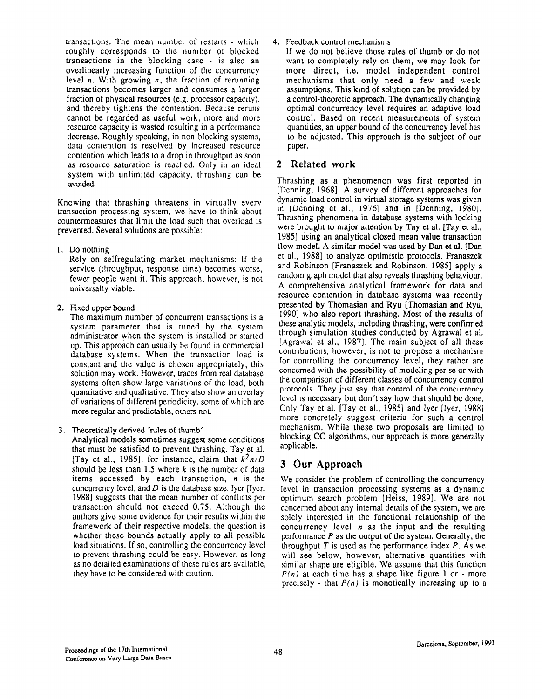transactions. The mean number of restarts - which roughly corresponds to the number of blocked transactions in the blocking case - is also an overlinearly increasing function of the concurrency level  $n$ . With growing  $n$ , the fraction of rerunning transactions becomes larger and consumes a larger fraction of physical resources (e.g. processor capacity), and thereby tightens the contention. Because reruns cannot be regarded as useful work, more and more resource capacity is wasted resulting in a performance decrease. Roughly speaking, in non-blocking systems, data contention is resolved by increased resource contention which leads to a drop in throughput as soon as resource saturation is reached. Only in an ideal system with unlimited capacity, thrashing can be avoided.

Knowing that thrashing threatens in virtually every transaction processing system, we have to think about countermeasures that limit the load such that overload is prevented. Several solutions are possible:

1. Do nothing

Rely on selfregulating market mechanisms: If the service (throughput, response time) becomes worse, fewer people want it. This approach, however, is not universally viable.

2. Fixed upper bound

The maximum number of concurrent transactions is a system parameter that is tuned by the system administrator when the system is installed or started up. This approach can usually be found in commercial database systems. When the transaction load is constant and the value is chosen appropriately, this solution may work. However, traces from real database systems often show large variations of the load, both quantitative and qualitative. They also show an overlay of variations of different periodicity, some of which are more regular and predictable, others not.

3. Theoretically derived 'rules of thumb'

Analytical models sometimes suggest some conditions that must be satisfied to prevent thrashing. Tay et al. [Tay et al., 1985], for instance, claim that  $k^2n/D$ should be less than 1.5 where  $k$  is the number of data items accessed by each transaction,  $n$  is the concurrency level, and  $D$  is the database size. Iyer [Iyer, 1988] suggests that the mean number of conflicts per transaction should not exceed 0.75. Although the authors give some evidence for their results within the framework of their respective models, the question is whether these bounds actually apply to all possible load situations. If so, controlling the concurrency level to prevent thrashing could be easy. However, as long as no detailed examinations of these rules are available, they have to be considered with caution.

# 4. Feedback control mechanisms

If we do not believe those rules of thumb or do not want to completely rely on them, we may look for more direct, i.e. model independent control mechanisms that only need a few and weak assumptions. This kind of solution can be provided by a control-theoretic approach. The dynamically changing optimal concurrency level requires an adaptive load control. Based on recent measurements of system quantities, an upper bound of the concurrency level has to be adjusted. This approach is the subject of our paper.

# 2 Related work

Thrashing as a phenomenon was first reported in [Denning, 19681. A survey of different approaches for dynamic load control in virtual storage systems was given in [Denning et al.,  $1976$ ] and in [Denning,  $1980$ ]. Thrashing phenomena in database systems with locking were brought to major attention by Tay et al. [Tay et al., 19851 using an analytical closed mean value transaction flow model. A similar model was used by Dan et al. [Dan et al., 1988] to analyze optimistic protocols. Franaszek and Robinson [Franaszek and Robinson, 19851 apply a random graph model that also reveals thrashing behaviour. A comprehensive analytical framework for data and resource contention in database systems was recently presented by Thomasian and Ryu [Thomasian and Ryu, 19901 who also report thrashing. Most of the results of these analytic models, including thrashing, were confmned through simulation studies conducted by Agrawal et al. [Agrawal et al., 1987]. The main subject of all these contributions, however, is not to propose a mechanism for controlling the concurrency level, they rather are concerned with the possibility of modeling per se or with the comparison of different classes of concurrency control protocols. They just say that control of the concurrency level is necessary but don't say how that should be done. Only Tay et al. [Tay et al., 1985] and Iyer [Iyer, 1988] more concretely suggest criteria for such a control mechanism. While these two proposals are limited to blocking CC algorithms, our approach is more generally applicable.

# 3 Our Approach

We consider the problem of controlling the concurrency level in transaction processing systems as a dynamic optimum search problem [Heiss, 1989]. We are not concerned about any internal details of the system, we are solely interested in the functional relationship of the concurrency level  $n$  as the input and the resulting performance  $P$  as the output of the system. Generally, the throughput  $T$  is used as the performance index  $P$ . As we will see below, however, alternative quantities with similar shape are eligible. We assume that this function  $P(n)$  at each time has a shape like figure 1 or - more precisely - that  $P(n)$  is monotically increasing up to a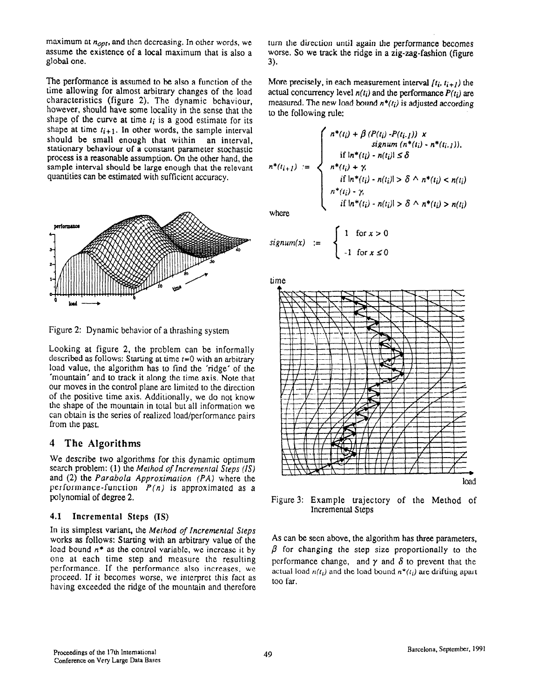maximum at  $n_{opt}$ , and then decreasing. In other words, we assume the existence of a local maximum that is also a global one.

The performance is assumed to be also a function of the time allowing for almost arbitrary changes of the load characteristics (figure 2). The dynamic behaviour, however, should have some locality in the sense that the shape of the curve at time  $t_i$  is a good estimate for its shape at time  $t_{i+1}$ . In other words, the sample interval should be small enough that within an interval, stationary behaviour of a constant parameter stochastic process is a reasonable assumption. On the other hand, the sample interval should be large enough that the relevant quantities can be estimated with sufficient accuracy.



Figure 2: Dynamic behavior of a thrashing system

Looking at figure 2, the prcblem can be informaily described as follows: Starting at time  $t=0$  with an arbitrary load value, the algorithm has to find the 'ridge' of the 'mountain' and to track it along the time axis. Note that our moves in the control plane are limited to the direction of the positive time axis. Additionally, we do not know the shape of the mountain in total but all information we can obtain is the series of realized load/performance pairs from the past.

## 4 The Algorithms

We describe two algorithms for this dynamic optimum search problem: (1) the Method of Incremental Steps (IS) and (2) the Parabola Approximation (PA) where the performance-function  $P(n)$  is approximated as a polynomial of degree 2.

#### 4.1 Incremental Steps (IS)

In its simplest variant, the Method of Incremental Steps works as follows: Starting with an arbitrary value of the load bound  $n^*$  as the control variable, we increase it by one at each time step and measure the resulting performance. If the performance also increases, we proceed. If it becomes worse, we interpret this fact as having exceeded the ridge of the mountain and therefore

turn the direction until again the performance becomes worse. So we track the ridge in a zig-zag-fashion (figure 3).

More precisely, in each measurement interval  $(t_i, t_{i+1})$  the actual concurrency level  $n(t_i)$  and the performance  $P(t_i)$  are measured. The new load bound  $n^*(t_i)$  is adjusted according to the following rule:

$$
n^*(t_{i+1}) := \begin{cases} n^*(t_i) + \beta (P(t_i) - P(t_{i-1})) \times \\ \text{signum } (n^*(t_i) - n^*(t_{i-1})), \\ \text{if } \ln^*(t_i) - n(t_i) \le \delta \\ n^*(t_i) + \gamma, \\ \text{if } \ln^*(t_i) - n(t_i) \le \delta \wedge n^*(t_i) < n(t_i) \\ n^*(t_i) - \gamma, \\ \text{if } \ln^*(t_i) - n(t_i) \le \delta \wedge n^*(t_i) > n(t_i) \end{cases}
$$

where

$$
signum(x) := \begin{cases} 1 & \text{for } x > 0 \\ -1 & \text{for } x \le 0 \end{cases}
$$





Figure 3: Example trajectory of the Method of Incremental Steps

As can be seen above, the algorithm has three parameters,  $\beta$  for changing the step size proportionally to the performance change, and  $\gamma$  and  $\delta$  to prevent that the actual load  $n(t_i)$  and the load bound  $n^*(t_i)$  are drifting apart too far.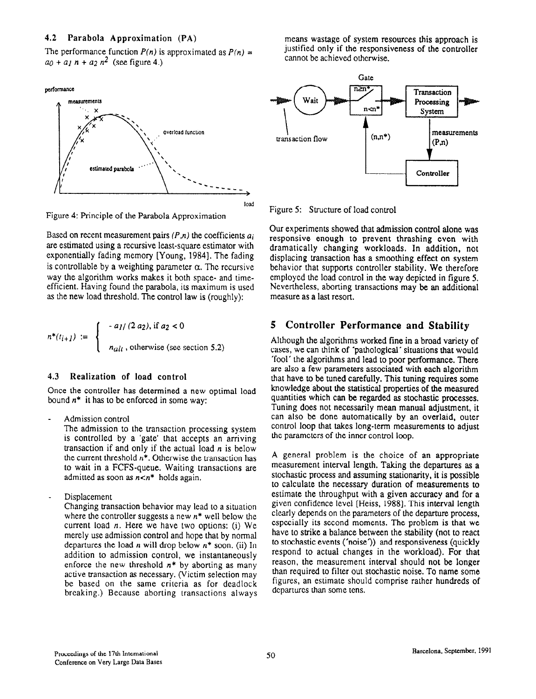#### 4.2 Parabola Approximation (PA)

The performance function  $P(n)$  is approximated as  $P(n) =$  $a_0 + a_1 n + a_2 n^2$  (see figure 4.)

performance



Figure 4: Principle of the Parabola Approximation

Based on recent measurement pairs  $(P,n)$  the coefficients  $a_i$ are estimated using a recursive least-square estimator with exponentially fading memory [Young, 1984]. The fading is controllable by a weighting parameter  $\alpha$ . The recursive way the algorithm works makes it both space- and timeefficient. Having found the parabola, its maximum is used as the new load threshold. The control law is (roughly):

$$
n^*(t_{i+1}) := \begin{cases} -a_1/(2 \ a_2), \text{ if } a_2 < 0 \\ n_{alt}, \text{ otherwise (see section 5.2)} \end{cases}
$$

#### 4.3 Realization of load control

Once the controller has determined a new optimal load bound  $n^*$  it has to be enforced in some way:

Admission control

The admission to the transaction processing system is controlled by a 'gate' that accepts an arriving transaction if and only if the actual load  $n$  is below the current threshold  $n^*$ . Otherwise the transaction has to wait in a FCFS-queue. Waiting transactions are admitted as soon as  $n < n^*$  holds again.

Displacement

Changing transaction behavior may lead to a situation where the controller suggests a new  $n^*$  well below the current load  $n$ . Here we have two options: (i) We merely use admission control and hope that by normal departures the load *n* will drop below  $n^*$  soon. (ii) In addition to admission control, we instantaneously enforce the new threshold  $n^*$  by aborting as many active transaction as necessary. (Victim selection may be based on the same criteria as for deadlock breaking.) Because aborting transactions always means wastage of system resources this approach is justified only if the responsiveness of the controller cannot be achieved otherwise.



Figure 5: Structure of load control

Our experiments showed that admission control alone was responsive enough to prevent thrashing even with dramatically changing workloads. In addition, not displacing transaction has a smoothing effect on system behavior that supports controller stability, We therefore employed the load control in the way depicted in figure 5. Nevertheless, aborting transactions may be an additional measure as a last resort.

# 5 Controller Performance and Stability

Although the algorithms worked fine in a broad variety of cases, we can think of 'pathological' situations that would 'fool' the algorithms and lead to poor performance. There are also a few parameters associated with each algorithm that have to be tuned carefully. This tuning requires some knowledge about the statistical properties of the measured quantities which can be regarded as stochastic processes. Tuning does not necessarily mean manual adjustment, it can also be done automatically by an overlaid, outer control loop that takes long-term measurements to adjust the parameters of the inner control loop.

A general problem is the choice of an appropriate measurement interval length. Taking the departures as a stochastic process and assuming stationarity, it is possible to calculate the necessary duration of measurements to estimate the throughput with a given accuracy and for a given confidence level [Heiss, 19881. This interval length clearly depends on the parameters of the departure process, especially its second moments. The problem is that we have to strike a balance between the stability (not to react to stochastic events ('noise')) and responsiveness (quickly respond to actual changes in the workload). For that reason, the measurement interval should not be longer than required to filter out stochastic noise. To name some figures, an estimate should comprise rather hundreds of dcparturcs than some tens.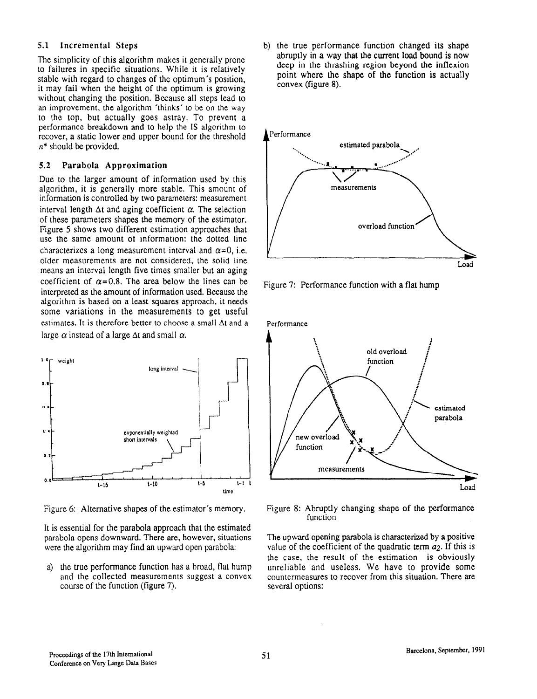### 5.1 Incremental Steps

The simplicity of this algorithm makes it generally prone to failures in specific situations. While it is relatively stable with regard to changes of the optimum's position, it may fail when the height of the optimum is growing without changing the position. Because all steps lead to an improvement, the algorithm 'thinks' to be on the way to the top, but actually goes astray. To prevent a performance breakdown and to help the IS algorithm to recover, a static lower and upper bound for the threshold  $n^*$  should be provided.

#### 5.2 Parabola Approximation

Due to the larger amount of information used by this algorithm, it is generally more stable. This amount of information is controlled by two parameters: measurement interval length  $\Delta t$  and aging coefficient  $\alpha$ . The selection of these parameters shapes the memory of the estimator. Figure 5 shows two different estimation approaches that use the same amount of information: the dotted line characterizes a long measurement interval and  $\alpha=0$ , i.e. older measurements are not considered, the solid line means an interval length five times smaller but an aging coefficient of  $\alpha$ =0.8. The area below the lines can be interpreted as the amount of information used. Because the algorithm is based on a least squares approach, it needs some variations in the measurements to get useful estimates. It is therefore better to choose a small At and a large  $\alpha$  instead of a large  $\Delta t$  and small  $\alpha$ .



Figure 6: Alternative shapes of the estimator's memory.

It is essential for the parabola approach that the estimated parabola opens downward. There are, however, situations were the algorithm may find an upward open parabola:

a) the true performance function has a broad, flat hump and the collected measurements suggest a convex course of the function (figure 7).

b) the true performance function changed its shape abruptly in a way that the current load bound is now deep in the thrashing region beyond the inflexion point where the shape of the function is actually convex (figure 8).



Figure 7: Performance function with a flat hump



Figure 8: Abruptly changing shape of the performance function

The upward opening parabola is characterized by a positive value of the coefficient of the quadratic term  $a_2$ . If this is the case, the result of the estimation is obviously unreliable and useless. We have to provide some countermeasures to recover from this situation. There are several options: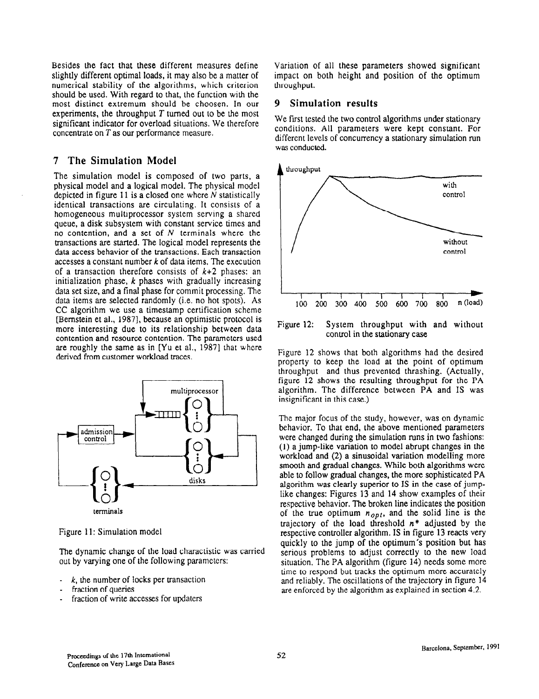Besides the fact that these different measures define slightly different optimal loads, it may also be a matter of numerical stability of the algorithms, which criterion should be used. With regard to that, the function with the most distinct extremum should be choosen. In our experiments, the throughput  $T$  turned out to be the most significant indicator for overload situations. We therefore concentrate on T as our performance measure.

# 7 The Simulation Model

The simulation model is composed of two parts, a physical model and a logical model. The physical model depicted in figure  $11$  is a closed one where N statistically identical transactions are circulating. It consists of a homogeneous multiprocessor system serving a shared queue, a disk subsystem with constant service times and no contention, and a set of  $N$  terminals where the transactions are started. The logical model represents the data access behavior of the transactions. Each transaction accesses a constant number  $k$  of data items. The execution of a transaction therefore consists of  $k+2$  phases: an initialization phase,  $k$  phases with gradually increasing data set size, and a final phase for commit processing. The data items are selected randomly (i.e. no hot spots). As CC algorithm we use a timestamp certification scheme [Bernstein et al., 19871, because an optimistic protocol is more interesting due to its relationship between data contention and resource contention. The parameters used are roughly the same as in [Yu et al., 1987] that where derived from customer workload traces.



Figure 11: Simulation model

The dynamic change of the load charactistic was carried out by varying one of the following parameters:

- $k$ , the number of locks per transaction
- fraction of queries
- fraction of write accesses for updaters

Variation of all these parameters showed significant impact on both height and position of the optimum throughput.

#### 9 Simulation results

We first tested the two control algorithms under stationary conditions. All parameters were kept constant. For different levels of concurrency a stationary simulation run was conducted.



Figure 12: System throughput with and without control in the stationary case

Figure 12 shows that both algorithms had the desired property to keep the load at the point of optimum throughput and thus prevented thrashing. (Actually, figure 12 shows the resulting throughput for the PA algorithm. The difference between PA and IS was insignificant in this case.)

The major focus of the study, however, was on dynamic behavior. To that end, the above mentioned parameters were changed during the simulation runs in two fashions: (1) a jump-like variation to model abrupt changes in the workload and (2) a sinusoidal variation modelling more smooth and gradual changes. While both algorithms were able to follow gradual changes, the more sophisticated PA algorithm was clearly superior to IS in the case of jumplike changes: Figures 13 and 14 show examples of their respective behavior. The broken line indicates the position of the true optimum  $n_{opt}$ , and the solid line is the trajectory of the load threshold  $n^*$  adjusted by the respective controller algorithm. IS in figure 13 reacts very quickly to the jump of the optimum's position but has serious problems to adjust correctly to the new load situation, The PA algorithm (figure 14) needs some more time to respond but tracks the optimum more accurately and reliably. The oscillations of the trajectory in figure 14 are enforced by the algorithm as explained in section 4.2.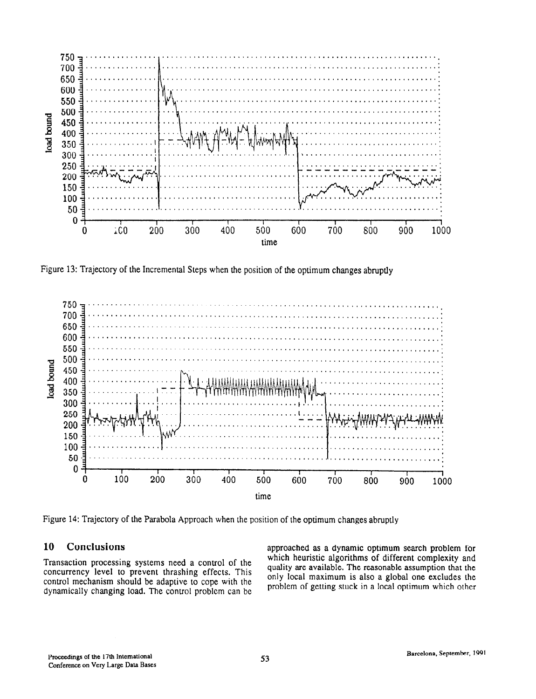

Figure 13: Trajectory of the Incremental Steps when the position of the optimum changes abruptly



Figure 14: Trajectory of the Parabola Approach when the position of the optimum changes abruptly

concurrency level to prevent thrashing effects. This quality are available. The reasonable assumption that the<br>control machinim should be edentive to concluding the solution only local maximum is also a global one excludes control mechanism should be adaptive to cope with the only local maximum is also a global one excludes the dunomically changing load. The control problem on he problem of getting stuck in a local optimum which other dynamically changing load. The control problem can be

10 Conclusions approached as a dynamic optimum search problem for Transaction processing systems need a control of the which heuristic algorithms of different complexity and quality are available. The reasonable assumption that the concurrency level to prevent threshing effects. This